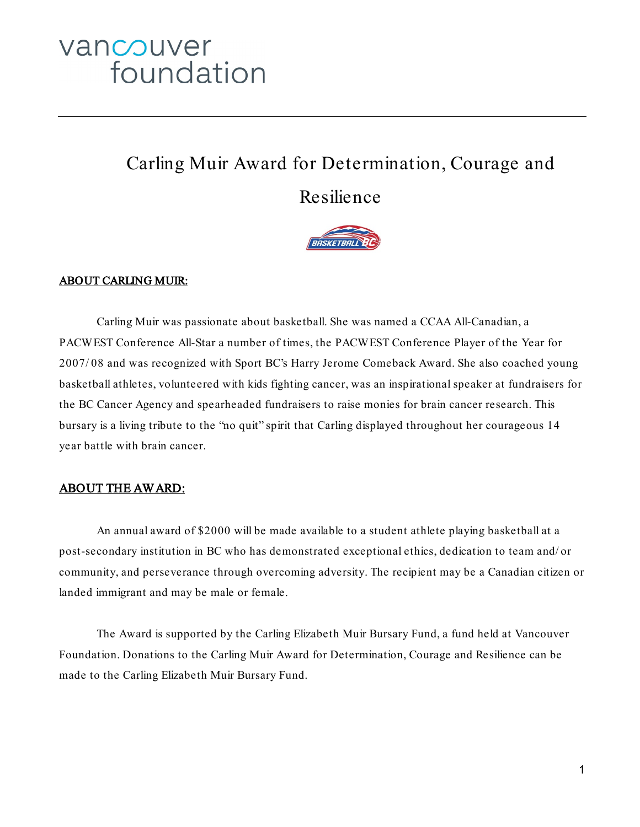# vancouver foundation

# Carling Muir Award for Determination, Courage and

## Resilience



#### ABOUT CARLING MUIR:

Carling Muir was passionate about basketball. She was named a CCAA All-Canadian, a PACWEST Conference All-Star a number of times, the PACWEST Conference Player of the Year for 2007/ 08 and was recognized with Sport BC's Harry Jerome Comeback Award. She also coached young basketball athletes, volunteered with kids fighting cancer, was an inspirational speaker at fundraisers for the BC Cancer Agency and spearheaded fundraisers to raise monies for brain cancer research. This bursary is a living tribute to the "no quit" spirit that Carling displayed throughout her courageous 14 year battle with brain cancer.

#### ABOUT THE AWARD:

An annual award of \$2000 will be made available to a student athlete playing basketball at a post-secondary institution in BC who has demonstrated exceptional ethics, dedication to team and/ or community, and perseverance through overcoming adversity. The recipient may be a Canadian citizen or landed immigrant and may be male or female.

The Award is supported by the Carling Elizabeth Muir Bursary Fund, a fund held at Vancouver Foundation. Donations to the Carling Muir Award for Determination, Courage and Resilience can be made to the Carling Elizabeth Muir Bursary Fund.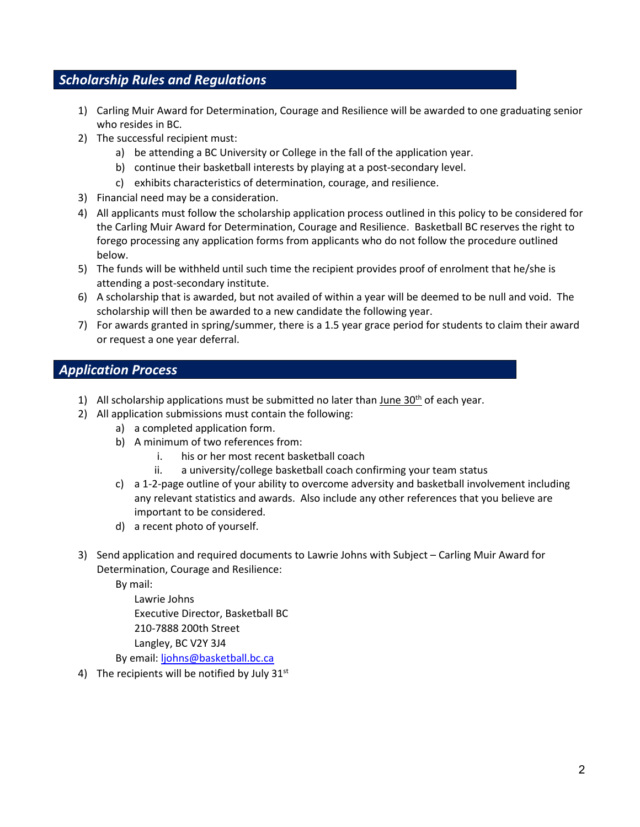### *Scholarship Rules and Regulations*

- 1) Carling Muir Award for Determination, Courage and Resilience will be awarded to one graduating senior who resides in BC.
- 2) The successful recipient must:
	- a) be attending a BC University or College in the fall of the application year.
	- b) continue their basketball interests by playing at a post-secondary level.
	- c) exhibits characteristics of determination, courage, and resilience.
- 3) Financial need may be a consideration.
- 4) All applicants must follow the scholarship application process outlined in this policy to be considered for the Carling Muir Award for Determination, Courage and Resilience. Basketball BC reserves the right to forego processing any application forms from applicants who do not follow the procedure outlined below.
- 5) The funds will be withheld until such time the recipient provides proof of enrolment that he/she is attending a post-secondary institute.
- 6) A scholarship that is awarded, but not availed of within a year will be deemed to be null and void. The scholarship will then be awarded to a new candidate the following year.
- 7) For awards granted in spring/summer, there is a 1.5 year grace period for students to claim their award or request a one year deferral.

#### *Application Process*

- 1) All scholarship applications must be submitted no later than June  $30<sup>th</sup>$  of each year.
- 2) All application submissions must contain the following:
	- a) a completed application form.
	- b) A minimum of two references from:
		- i. his or her most recent basketball coach
		- ii. a university/college basketball coach confirming your team status
	- c) a 1-2-page outline of your ability to overcome adversity and basketball involvement including any relevant statistics and awards. Also include any other references that you believe are important to be considered.
	- d) a recent photo of yourself.
- 3) Send application and required documents to Lawrie Johns with Subject Carling Muir Award for Determination, Courage and Resilience:

By mail:

Lawrie Johns Executive Director, Basketball BC 210-7888 200th Street Langley, BC V2Y 3J4 By email: [ljohns@basketball.bc.ca](mailto:ljohns@basketball.bc.ca)

4) The recipients will be notified by July  $31<sup>st</sup>$